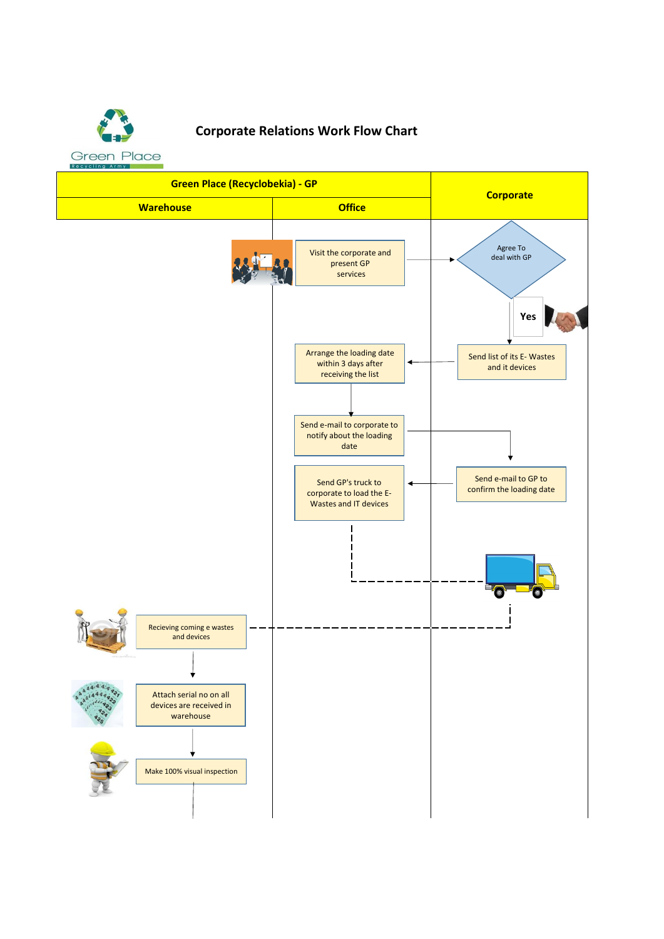

## **Corporate Relations Work Flow Chart**

**Green Place (Recyclobekia) - GP Corporate Warehouse Office** Agree To Visit the corporate and deal with GP present GP services **Yes** Arrange the loading date Send list of its E- Wastes within 3 days after ۷ and it devices receiving the list Send e-mail to corporate to notify about the loading date Send e-mail to GP to Send GP's truck to confirm the loading date corporate to load the E-Wastes and IT devices Recieving coming e wastes and devicesAttach serial no on all devices are received in warehouse Make 100% visual inspection